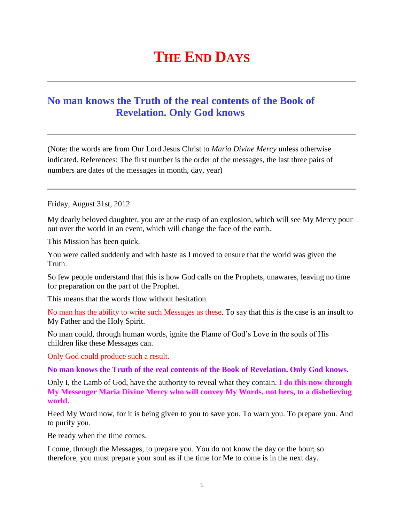## **THE END DAYS**

## **[No man knows the Truth of the real contents of the Book of](http://www.thewarningsecondcoming.com/no-man-knows-the-truth-of-the-real-contents-of-the-book-of-revelation-only-god-knows/)  [Revelation. Only God knows](http://www.thewarningsecondcoming.com/no-man-knows-the-truth-of-the-real-contents-of-the-book-of-revelation-only-god-knows/)**

(Note: the words are from Our Lord Jesus Christ to *Maria Divine Mercy* unless otherwise indicated. References: The first number is the order of the messages, the last three pairs of numbers are dates of the messages in month, day, year)

Friday, August 31st, 2012

My dearly beloved daughter, you are at the cusp of an explosion, which will see My Mercy pour out over the world in an event, which will change the face of the earth.

This Mission has been quick.

You were called suddenly and with haste as I moved to ensure that the world was given the Truth.

So few people understand that this is how God calls on the Prophets, unawares, leaving no time for preparation on the part of the Prophet.

This means that the words flow without hesitation.

No man has the ability to write such Messages as these. To say that this is the case is an insult to My Father and the Holy Spirit.

No man could, through human words, ignite the Flame of God's Love in the souls of His children like these Messages can.

Only God could produce such a result.

**No man knows the Truth of the real contents of the Book of Revelation. Only God knows.**

Only I, the Lamb of God, have the authority to reveal what they contain. **I do this now through My Messenger Maria Divine Mercy who will convey My Words, not hers, to a disbelieving world.**

Heed My Word now, for it is being given to you to save you. To warn you. To prepare you. And to purify you.

Be ready when the time comes.

I come, through the Messages, to prepare you. You do not know the day or the hour; so therefore, you must prepare your soul as if the time for Me to come is in the next day.